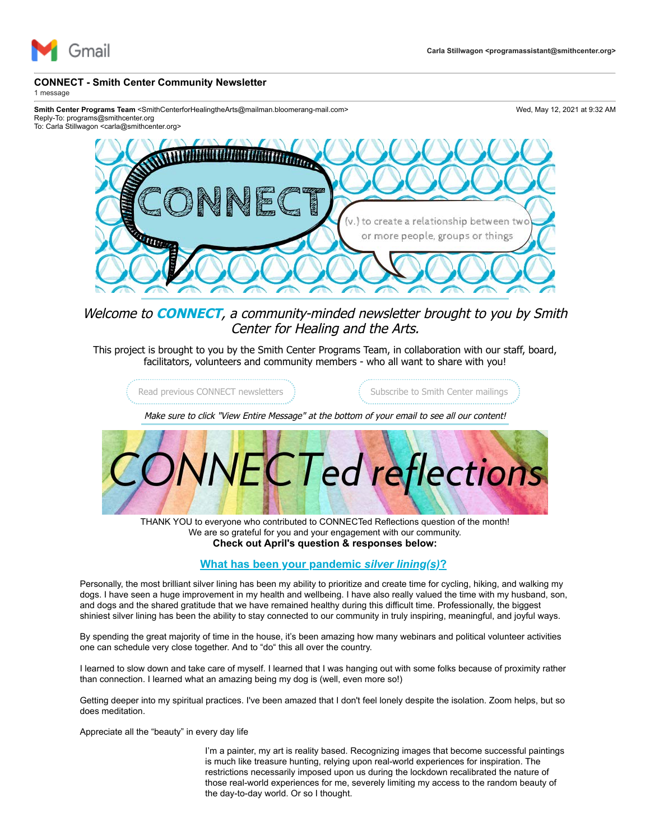

## **CONNECT - Smith Center Community Newsletter**

1 message

Smith Center Programs Team <SmithCenterforHealingtheArts@mailman.bloomerang-mail.com> Wed, May 12, 2021 at 9:32 AM Reply-To: programs@smithcenter.org

To: Carla Stillwagon <carla@smithcenter.org>



Welcome to **CONNECT**, a community-minded newsletter brought to you by Smith Center for Healing and the Arts.

This project is brought to you by the Smith Center Programs Team, in collaboration with our staff, board, facilitators, volunteers and community members - who all want to share with you!

[Read previous CONNECT newsletters](https://u4479449.ct.sendgrid.net/ls/click?upn=3sgrXn5Ev5tKVcoBK0A6CgAHr74k0xcNCOw-2B-2F3C0qbewFS0ajpjAOaN7owSigZ9x9ahsqWCfDDW51po-2BGO6CewXPWgltBvFZRMauc-2BGWmd4-3DjGUQ_5WEKUCHOOKEmpAePquxKW8mz8KxSlNJE8q6LGByFHASLHkY3PAVnX0uan0usBqR4ZgOg70CAYmaHqAqs2ECz4MumhDSU6e2ReAjaDnJuqUHldRl5mHPEZeH8qDbsz4upOVhRTCNwmJdk0qm0AHNnBguz9SC8jjNY6obgMh4owxlhzSZqhDwPJdYrNCZI3dv0LbdvlNXvedEYQByLn-2FmsUXWMrcJWsntXIco1-2Bbufc3hMH8jkrzPp4BofP2NGk07qRFozDfgTCno4xZJCXRAdinvxrnD2Tqu7H4jGiCbyCG5MU1ZYbRwUcgnYkBhm9z0edRw2rW0lGwC9DcCf-2FzyPBlAmklqeraBfaMVUg3Wu-2Fum8ZkWHPeINhUimzsCCppCeAm4YrTAxgUkwq6ZsqUg2AQ-3D-3D)  $\qquad \qquad$  [Subscribe to Smith Center mailings](https://u4479449.ct.sendgrid.net/ls/click?upn=3sgrXn5Ev5tKVcoBK0A6CgAHr74k0xcNCOw-2B-2F3C0qbfcQx4bylRXZQSioJxky6zDpZoICpHTcCyEsfIVM0wCmv4Pk8kV396WPLzQJ5CafmHdDRakF-2FPMzQW0kby5UKBgnPDQ_5WEKUCHOOKEmpAePquxKW8mz8KxSlNJE8q6LGByFHASLHkY3PAVnX0uan0usBqR4ZgOg70CAYmaHqAqs2ECz4MumhDSU6e2ReAjaDnJuqUHldRl5mHPEZeH8qDbsz4upOVhRTCNwmJdk0qm0AHNnBguz9SC8jjNY6obgMh4owxlhzSZqhDwPJdYrNCZI3dv0LbdvlNXvedEYQByLn-2FmsUXWMrcJWsntXIco1-2Bbufc3hMH8jkrzPp4BofP2NGk07qzm4fkbu9PnJuCcZDTNKEIM7mdc4IcbNe5Qwm-2F-2BNOpsiO7d-2BU1dDKMOK4peGpohHKsagidG10cby9Gr-2FihTNp6KrASw8mVC3Cc8XxAFjLn3KCiU6YC5-2BieFvZbnKqCmPeemYXd8GL9gWhyY4hETaZ2A-3D-3D)

Make sure to click "View Entire Message" at the bottom of your email to see all our content!



THANK YOU to everyone who contributed to CONNECTed Reflections question of the month! We are so grateful for you and your engagement with our community. **Check out April's question & responses below:**

## **What has been your pandemic** *silver lining(s)***?**

Personally, the most brilliant silver lining has been my ability to prioritize and create time for cycling, hiking, and walking my dogs. I have seen a huge improvement in my health and wellbeing. I have also really valued the time with my husband, son, and dogs and the shared gratitude that we have remained healthy during this difficult time. Professionally, the biggest shiniest silver lining has been the ability to stay connected to our community in truly inspiring, meaningful, and joyful ways.

By spending the great majority of time in the house, it's been amazing how many webinars and political volunteer activities one can schedule very close together. And to "do" this all over the country.

I learned to slow down and take care of myself. I learned that I was hanging out with some folks because of proximity rather than connection. I learned what an amazing being my dog is (well, even more so!)

Getting deeper into my spiritual practices. I've been amazed that I don't feel lonely despite the isolation. Zoom helps, but so does meditation.

Appreciate all the "beauty" in every day life

I'm a painter, my art is reality based. Recognizing images that become successful paintings is much like treasure hunting, relying upon real-world experiences for inspiration. The restrictions necessarily imposed upon us during the lockdown recalibrated the nature of those real-world experiences for me, severely limiting my access to the random beauty of the day-to-day world. Or so I thought.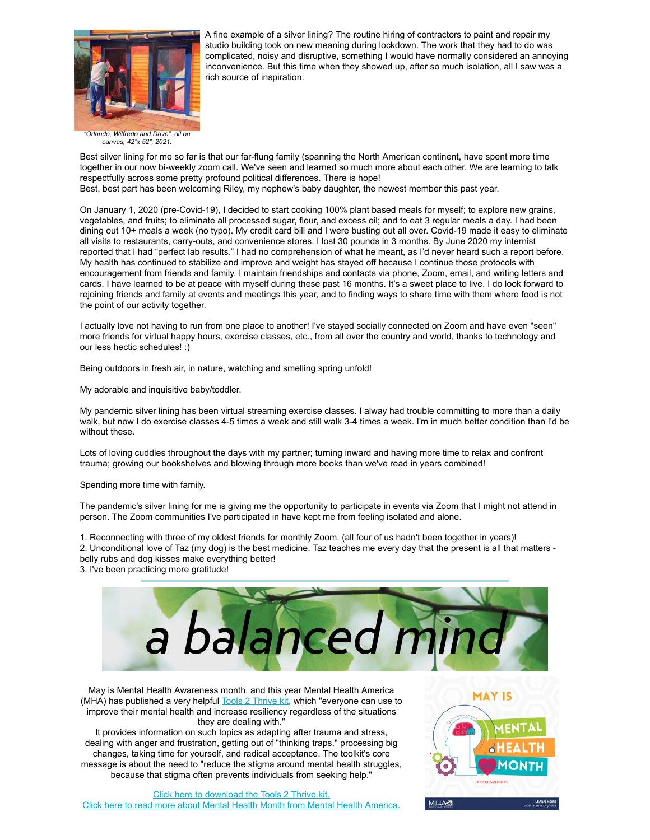

A fine example of a silver lining? The routine hiring of contractors to paint and repair my studio building took on new meaning during lockdown. The work that they had to do was complicated, noisy and disruptive, something I would have normally considered an annoying inconvenience. But this time when they showed up, after so much isolation, all I saw was a rich source of inspiration.

*"Orlando, Wilfredo and Dave", oil on canvas, 42"x 52", 2021.*

Best silver lining for me so far is that our far-flung family (spanning the North American continent, have spent more time together in our now bi-weekly zoom call. We've seen and learned so much more about each other. We are learning to talk respectfully across some pretty profound political differences. There is hope! Best, best part has been welcoming Riley, my nephew's baby daughter, the newest member this past year.

On January 1, 2020 (pre-Covid-19), I decided to start cooking 100% plant based meals for myself; to explore new grains, vegetables, and fruits; to eliminate all processed sugar, flour, and excess oil; and to eat 3 regular meals a day. I had been dining out 10+ meals a week (no typo). My credit card bill and I were busting out all over. Covid-19 made it easy to eliminate all visits to restaurants, carry-outs, and convenience stores. I lost 30 pounds in 3 months. By June 2020 my internist reported that I had "perfect lab results." I had no comprehension of what he meant, as I'd never heard such a report before. My health has continued to stabilize and improve and weight has stayed off because I continue those protocols with encouragement from friends and family. I maintain friendships and contacts via phone, Zoom, email, and writing letters and cards. I have learned to be at peace with myself during these past 16 months. It's a sweet place to live. I do look forward to rejoining friends and family at events and meetings this year, and to finding ways to share time with them where food is not the point of our activity together.

I actually love not having to run from one place to another! I've stayed socially connected on Zoom and have even "seen" more friends for virtual happy hours, exercise classes, etc., from all over the country and world, thanks to technology and our less hectic schedules! :)

Being outdoors in fresh air, in nature, watching and smelling spring unfold!

My adorable and inquisitive baby/toddler.

My pandemic silver lining has been virtual streaming exercise classes. I alway had trouble committing to more than a daily walk, but now I do exercise classes 4-5 times a week and still walk 3-4 times a week. I'm in much better condition than I'd be without these.

Lots of loving cuddles throughout the days with my partner; turning inward and having more time to relax and confront trauma; growing our bookshelves and blowing through more books than we've read in years combined!

Spending more time with family.

The pandemic's silver lining for me is giving me the opportunity to participate in events via Zoom that I might not attend in person. The Zoom communities I've participated in have kept me from feeling isolated and alone.

1. Reconnecting with three of my oldest friends for monthly Zoom. (all four of us hadn't been together in years)! 2. Unconditional love of Taz (my dog) is the best medicine. Taz teaches me every day that the present is all that matters belly rubs and dog kisses make everything better!

3. I've been practicing more gratitude!



May is Mental Health Awareness month, and this year Mental Health America (MHA) has published a very helpful **Tools 2 Thrive kit**, which "everyone can use to improve their mental health and increase resiliency regardless of the situations they are dealing with."

It provides information on such topics as adapting after trauma and stress, dealing with anger and frustration, getting out of "thinking traps," processing big changes, taking time for yourself, and radical acceptance. The toolkit's core message is about the need to "reduce the stigma around mental health struggles, because that stigma often prevents individuals from seeking help."

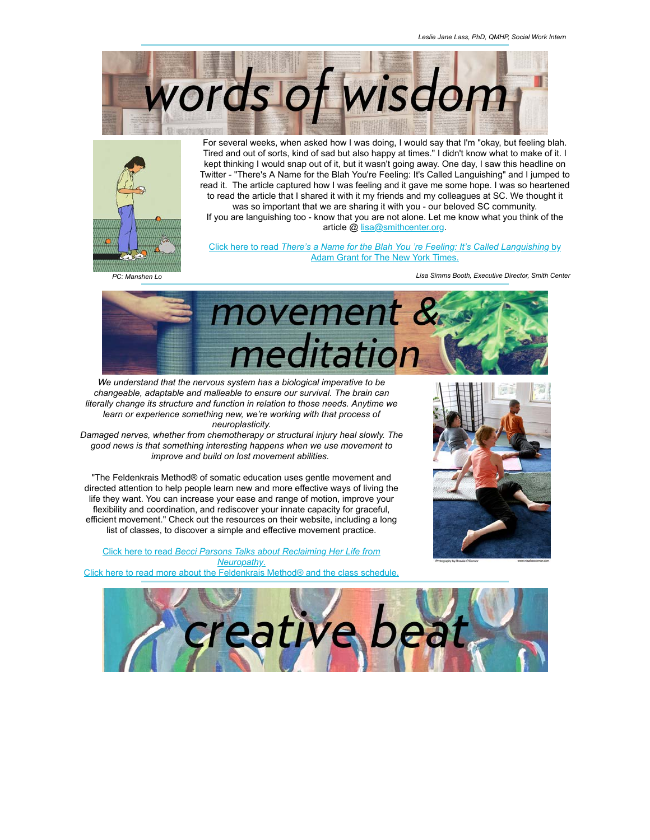



For several weeks, when asked how I was doing, I would say that I'm "okay, but feeling blah. Tired and out of sorts, kind of sad but also happy at times." I didn't know what to make of it. I kept thinking I would snap out of it, but it wasn't going away. One day, I saw this headline on Twitter - "There's A Name for the Blah You're Feeling: It's Called Languishing" and I jumped to read it. The article captured how I was feeling and it gave me some hope. I was so heartened to read the article that I shared it with it my friends and my colleagues at SC. We thought it was so important that we are sharing it with you - our beloved SC community.

If you are languishing too - know that you are not alone. Let me know what you think of the article @ [lisa@smithcenter.org.](mailto:lisa@smithcenter.org?subject=Response%20to%20NYT%20Languishing%20Article)

Click here to read *[There's a Name for the Blah You 're Feeling: It's Called Languishing](https://u4479449.ct.sendgrid.net/ls/click?upn=zo8Ua-2B6RLwPnL5UA8x7bEa-2B181cmQWYfbTmB8W5OuZ3iNaH5w-2BwmzmgBBGutc6DTi1AlPW0IrBR5-2F6Ikm-2Bw73MYTQ4qPqTs457KSPTDzaer9k-2BxyUF5m6MMSu1lvuEMpwb4kaR12vv0n3yNojzmrkQ94qqNL1gairL7Go-2B2IhtENfwn-2FeR8oBA6amu6bxLr2iJYWaRSc8TsBD4RGbl6-2BPjM-2BGs6RotTqBaZrKs7WfLBXPhZjSKkh810odl-2FEaBktMjXF_5WEKUCHOOKEmpAePquxKW8mz8KxSlNJE8q6LGByFHASLHkY3PAVnX0uan0usBqR4ZgOg70CAYmaHqAqs2ECz4MumhDSU6e2ReAjaDnJuqUHldRl5mHPEZeH8qDbsz4upOVhRTCNwmJdk0qm0AHNnBguz9SC8jjNY6obgMh4owxlhzSZqhDwPJdYrNCZI3dv0LbdvlNXvedEYQByLn-2FmsUXWMrcJWsntXIco1-2Bbufc3hMH8jkrzPp4BofP2NGk07qsepP-2BA-2B1WytA2H4c8up70zBz-2FnxlNg5bUwi11W8eF6s-2FR0rh8k1JUsCGSxzj-2FHvXyeqDgIGlj6iNnkUY8G94gVll5OehQl7RpEWZIz88fN7PYDeQ4CAiN1hg5LVVIqk9zKa4IqpfuT3LJlUmcnWEkg-3D-3D)* by Adam Grant for The New York Times.

*PC: Manshen Lo*

*Lisa Simms Booth, Executive Director, Smith Center*



*We understand that the nervous system has a biological imperative to be changeable, adaptable and malleable to ensure our survival. The brain can literally change its structure and function in relation to those needs. Anytime we learn or experience something new, we're working with that process of neuroplasticity.*

*Damaged nerves, whether from chemotherapy or structural injury heal slowly. The good news is that something interesting happens when we use movement to improve and build on lost movement abilities.* 

"The Feldenkrais Method® of somatic education uses gentle movement and directed attention to help people learn new and more effective ways of living the life they want. You can increase your ease and range of motion, improve your flexibility and coordination, and rediscover your innate capacity for graceful, efficient movement." Check out the resources on their website, including a long list of classes, to discover a simple and effective movement practice.

Click here to read *[Becci Parsons Talks about Reclaiming Her Life from](https://u4479449.ct.sendgrid.net/ls/click?upn=3sgrXn5Ev5tKVcoBK0A6CvqjnNMGoZLjMGBWLSlgeKu5jS0oNRQedLfa7gwmbmW5-2FsQ9cSaLojJJi-2F708vGosIFs-2FRw1AaJIOltSIqBqNp0F1kM4QkDlu8QByUqf4ru73Pd4q5xug2tKThTiOBOsmQ-3D-3D2ah0_5WEKUCHOOKEmpAePquxKW8mz8KxSlNJE8q6LGByFHASLHkY3PAVnX0uan0usBqR4ZgOg70CAYmaHqAqs2ECz4MumhDSU6e2ReAjaDnJuqUHldRl5mHPEZeH8qDbsz4upOVhRTCNwmJdk0qm0AHNnBguz9SC8jjNY6obgMh4owxlhzSZqhDwPJdYrNCZI3dv0LbdvlNXvedEYQByLn-2FmsUXWMrcJWsntXIco1-2Bbufc3hMH8jkrzPp4BofP2NGk07qdNWeoQJWF4moqfUu9bXI8EN2kA68YEw4ObKWW-2BIl8SgxJ5prB3q5MfR1b-2BVFbQZpbeyfZun308BjXHmeO7f-2B-2B-2FapavF3-2F86S-2FtBcNSHNW-2Fy3Wg-2FJXkL9qNqxwcLuTo-2FnWDA-2F47KFXWCajFFqn5dYJA-3D-3D) Neuropathy*[.](https://u4479449.ct.sendgrid.net/ls/click?upn=3sgrXn5Ev5tKVcoBK0A6CvqjnNMGoZLjMGBWLSlgeKu5jS0oNRQedLfa7gwmbmW5-2FsQ9cSaLojJJi-2F708vGosIFs-2FRw1AaJIOltSIqBqNp0F1kM4QkDlu8QByUqf4ru73Pd4q5xug2tKThTiOBOsmQ-3D-3D9Mrr_5WEKUCHOOKEmpAePquxKW8mz8KxSlNJE8q6LGByFHASLHkY3PAVnX0uan0usBqR4ZgOg70CAYmaHqAqs2ECz4MumhDSU6e2ReAjaDnJuqUHldRl5mHPEZeH8qDbsz4upOVhRTCNwmJdk0qm0AHNnBguz9SC8jjNY6obgMh4owxlhzSZqhDwPJdYrNCZI3dv0LbdvlNXvedEYQByLn-2FmsUXWMrcJWsntXIco1-2Bbufc3hMH8jkrzPp4BofP2NGk07qtC-2BryPL11FF-2BxmvXa1HfYT6gYZdisyWdLGop8eHjOtOX8QDYz3iG-2FpODizqEtX9YEnPmY7mhKc6v1FvV1QreZ1tP3yDY94Fmr36-2Bj0YJIDQ-2FWIVlM1fh4r5yu21ufohNtQYe6GQp-2FZ9d0Knxo7mtNA-3D-3D) [Click here to read more about the Feldenkrais Method® and the class schedule.](https://u4479449.ct.sendgrid.net/ls/click?upn=3sgrXn5Ev5tKVcoBK0A6CvqjnNMGoZLjMGBWLSlgeKtuk0BrrG2SXczusUr2yZ0GTlY29UpyiAxyX6kOi81gmQ-3D-3D07v1_5WEKUCHOOKEmpAePquxKW8mz8KxSlNJE8q6LGByFHASLHkY3PAVnX0uan0usBqR4ZgOg70CAYmaHqAqs2ECz4MumhDSU6e2ReAjaDnJuqUHldRl5mHPEZeH8qDbsz4upOVhRTCNwmJdk0qm0AHNnBguz9SC8jjNY6obgMh4owxlhzSZqhDwPJdYrNCZI3dv0LbdvlNXvedEYQByLn-2FmsUXWMrcJWsntXIco1-2Bbufc3hMH8jkrzPp4BofP2NGk07qFZljtSgeS1jfIzf4Mj-2BkHLlvcVBo8i-2BY7wOwJHS58KlTGdDK5AxI-2F5cAALB5McffY2dZRKCEfne6Lb0NtdNykmRRKL7JmPc-2BS-2FIlO94sY9Jg06yb6cO8ivVWeZ2F6rufc8QUDPEN3EmJgtMgYpb8mg-3D-3D)



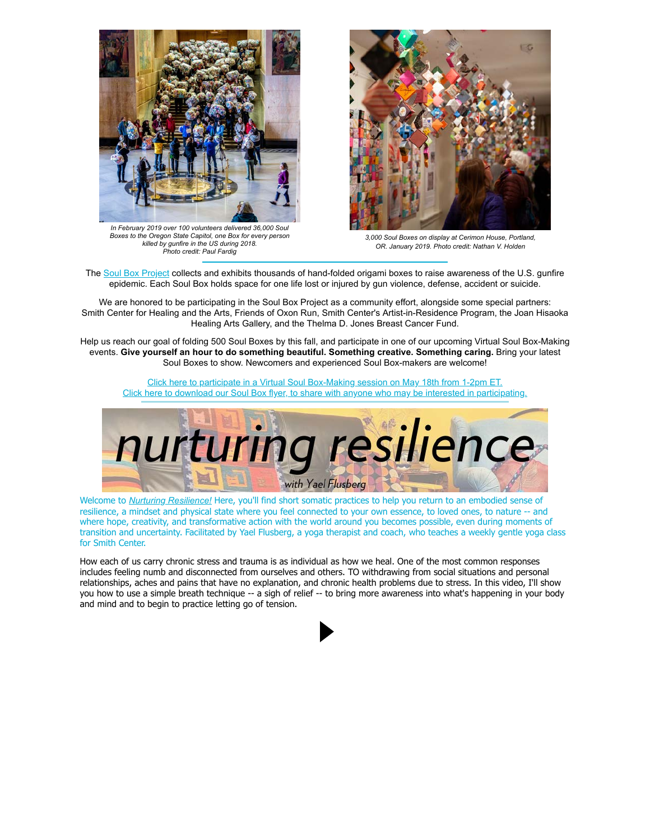

*In February 2019 over 100 volunteers delivered 36,000 Soul Boxes to the Oregon State Capitol, one Box for every person killed by gunfire in the US during 2018. Photo credit: Paul Fardig*



*3,000 Soul Boxes on display at Cerimon House, Portland, OR. January 2019. Photo credit: Nathan V. Holden*

The [Soul Box Project](https://u4479449.ct.sendgrid.net/ls/click?upn=3sgrXn5Ev5tKVcoBK0A6Cqfwr8mv9gKTY1GtxPK8bTIIX4KyDvpNL1t3zyiTo4jLV1F-2F4rl8pwde9CuZ4LgoQw-3D-3D91ga_5WEKUCHOOKEmpAePquxKW8mz8KxSlNJE8q6LGByFHASLHkY3PAVnX0uan0usBqR4ZgOg70CAYmaHqAqs2ECz4MumhDSU6e2ReAjaDnJuqUHldRl5mHPEZeH8qDbsz4upOVhRTCNwmJdk0qm0AHNnBguz9SC8jjNY6obgMh4owxlhzSZqhDwPJdYrNCZI3dv0LbdvlNXvedEYQByLn-2FmsUXWMrcJWsntXIco1-2Bbufc3hMH8jkrzPp4BofP2NGk07qNzg8sLqR-2B98wO15AuwZCPk1a02vvgqcNO01dvQZxynkQZK-2FOm9B8X6yxpM2PlWVwcguDpfhxzcSWWwCayUwOMZT8a-2BpfRmD0yy0zmE-2BO7asP-2BbPc1G-2B2T5nt3-2Bljvrkn6EG7Q-2BoJAQzR-2BKfpuv9PxQ-3D-3D) collects and exhibits thousands of hand-folded origami boxes to raise awareness of the U.S. gunfire epidemic. Each Soul Box holds space for one life lost or injured by gun violence, defense, accident or suicide.

We are honored to be participating in the Soul Box Project as a community effort, alongside some special partners: Smith Center for Healing and the Arts, Friends of Oxon Run, Smith Center's Artist-in-Residence Program, the Joan Hisaoka Healing Arts Gallery, and the Thelma D. Jones Breast Cancer Fund.

Help us reach our goal of folding 500 Soul Boxes by this fall, and participate in one of our upcoming Virtual Soul Box-Making events. **Give yourself an hour to do something beautiful. Something creative. Something caring.** Bring your latest Soul Boxes to show. Newcomers and experienced Soul Box-makers are welcome!

[Click here to participate in a Virtual Soul Box-Making session on May 18th from 1-2pm ET.](https://u4479449.ct.sendgrid.net/ls/click?upn=3sgrXn5Ev5tKVcoBK0A6CgAHr74k0xcNCOw-2B-2F3C0qbce5MeJubdI-2BSI1r58WDULlLlju0aR-2BhWwv6GoZo6G7ASysHCBYL0Yla11zLRtLoPaw5bZG6ioqQq2YhJekc2CNqgaghgVb3x8iKtLtDs5P6Q-3D-3D4e0g_5WEKUCHOOKEmpAePquxKW8mz8KxSlNJE8q6LGByFHASLHkY3PAVnX0uan0usBqR4ZgOg70CAYmaHqAqs2ECz4MumhDSU6e2ReAjaDnJuqUHldRl5mHPEZeH8qDbsz4upOVhRTCNwmJdk0qm0AHNnBguz9SC8jjNY6obgMh4owxlhzSZqhDwPJdYrNCZI3dv0LbdvlNXvedEYQByLn-2FmsUXWMrcJWsntXIco1-2Bbufc3hMH8jkrzPp4BofP2NGk07qH6Aigqg8-2BTgGzNP-2B95eYSLb0hEjqpuCg2EdxD7uAL3euCo34ZDg7z-2BYCYmJDADHNBuCTrk-2FSeK5WvoyLAP91jox28D1g-2BdQ5pcM1KkGKU-2BmbUICOy9TNJSHxM-2BM-2BpzVhEvObL1-2FjIQBokAuUuDUMlA-3D-3D) [Click here to download our Soul Box flyer, to share with anyone who may be interested in participating.](https://u4479449.ct.sendgrid.net/ls/click?upn=3sgrXn5Ev5tKVcoBK0A6CgAHr74k0xcNCOw-2B-2F3C0qbclpov4UALDxxb0fS7hpvv21vG0rmGqF-2BAcQWyCBWLWF-2Fe8x-2F7KxHShaD33peoyXvcYJ5v23rAWyEHrP2T2LY60tFLjoPsk59KicLjpgUjrl27bODIs9eGrsJf6jY8aLtE-3DG76D_5WEKUCHOOKEmpAePquxKW8mz8KxSlNJE8q6LGByFHASLHkY3PAVnX0uan0usBqR4ZgOg70CAYmaHqAqs2ECz4MumhDSU6e2ReAjaDnJuqUHldRl5mHPEZeH8qDbsz4upOVhRTCNwmJdk0qm0AHNnBguz9SC8jjNY6obgMh4owxlhzSZqhDwPJdYrNCZI3dv0LbdvlNXvedEYQByLn-2FmsUXWMrcJWsntXIco1-2Bbufc3hMH8jkrzPp4BofP2NGk07qX9Tr1PWmcwTubdoLwiLBiBKFXT0QNFbomsXj6MoYVYZKbdi9BjxH88nfEZo573DxGhRkJbv-2FLAEzK3arn0AQhxOAXf1yopXk4ODu-2FQF27aGAMJb4yun1XP5IF5m4unPbOrss-2BoP1EceRhpm-2FPgwlaQ-3D-3D)



Welcome to *[Nurturing Resilience!](https://u4479449.ct.sendgrid.net/ls/click?upn=3sgrXn5Ev5tKVcoBK0A6Cpe-2BSlO1vPLgoqB6W1XeqY06zOXUsp420f-2BgYcp9T1mgCA5wH0h7r9vxRHIa3T7CKev7lTXlvPbykXAv8FP20pz0Wp-2FuxI2nf0CRf3HTSVlKFt8gaBcQPLJvZg7pHg1vsg-3D-3Dr-0L_5WEKUCHOOKEmpAePquxKW8mz8KxSlNJE8q6LGByFHASLHkY3PAVnX0uan0usBqR4ZgOg70CAYmaHqAqs2ECz4MumhDSU6e2ReAjaDnJuqUHldRl5mHPEZeH8qDbsz4upOVhRTCNwmJdk0qm0AHNnBguz9SC8jjNY6obgMh4owxlhzSZqhDwPJdYrNCZI3dv0LbdvlNXvedEYQByLn-2FmsUXWMrcJWsntXIco1-2Bbufc3hMH8jkrzPp4BofP2NGk07qFVu6ZibCuMd-2BueYK6NAhf2Hna1VRdTAeRxhZz9cHU-2BtKKGPYtj60w26cIhBYE3jZA5HkdvXiN0tD5R2-2BsaIlSOiAqMqvgzzzIURqjwZ8dZz32Jl1CAAA-2Ff5DnZyzefr7DdG2O5wYguc-2BQmVvTjX9Vg-3D-3D)* Here, you'll find short somatic practices to help you return to an embodied sense of resilience, a mindset and physical state where you feel connected to your own essence, to loved ones, to nature -- and where hope, creativity, and transformative action with the world around you becomes possible, even during moments of transition and uncertainty. Facilitated by Yael Flusberg, a yoga therapist and coach, who teaches a weekly gentle yoga class for Smith Center.

How each of us carry chronic stress and trauma is as individual as how we heal. One of the most common responses includes feeling numb and disconnected from ourselves and others. TO withdrawing from social situations and personal relationships, aches and pains that have no explanation, and chronic health problems due to stress. In this video, I'll show you how to use a simple breath technique -- a sigh of relief -- to bring more awareness into what's happening in your body and mind and to begin to practice letting go of tension.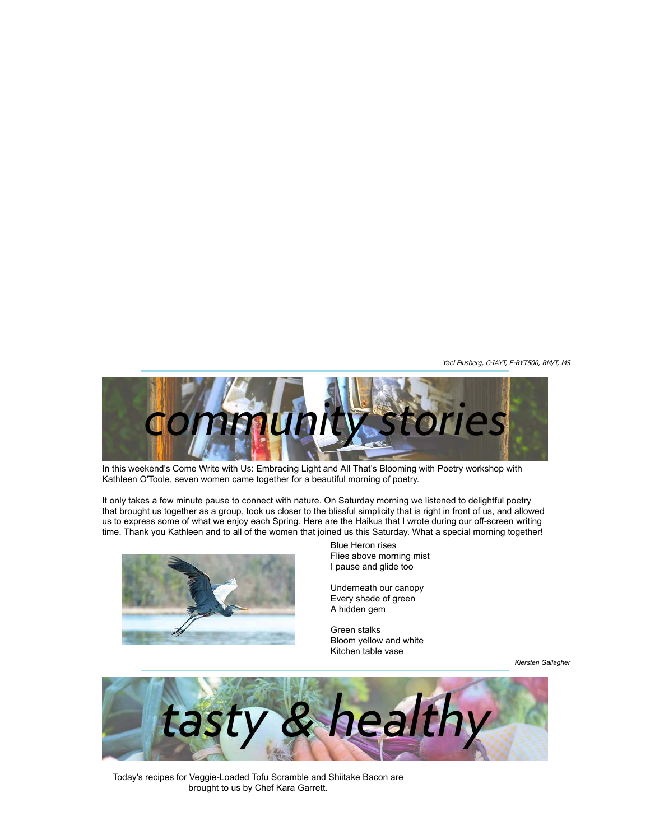Yael Flusberg, C-IAYT, E-RYT500, RM/T, MS



In this weekend's Come Write with Us: Embracing Light and All That's Blooming with Poetry workshop with Kathleen O'Toole, seven women came together for a beautiful morning of poetry.

It only takes a few minute pause to connect with nature. On Saturday morning we listened to delightful poetry that brought us together as a group, took us closer to the blissful simplicity that is right in front of us, and allowed us to express some of what we enjoy each Spring. Here are the Haikus that I wrote during our off-screen writing time. Thank you Kathleen and to all of the women that joined us this Saturday. What a special morning together!



Blue Heron rises Flies above morning mist I pause and glide too

Underneath our canopy Every shade of green A hidden gem

Green stalks Bloom yellow and white Kitchen table vase

*Kiersten Gallagher*



Today's recipes for Veggie-Loaded Tofu Scramble and Shiitake Bacon are brought to us by Chef Kara Garrett.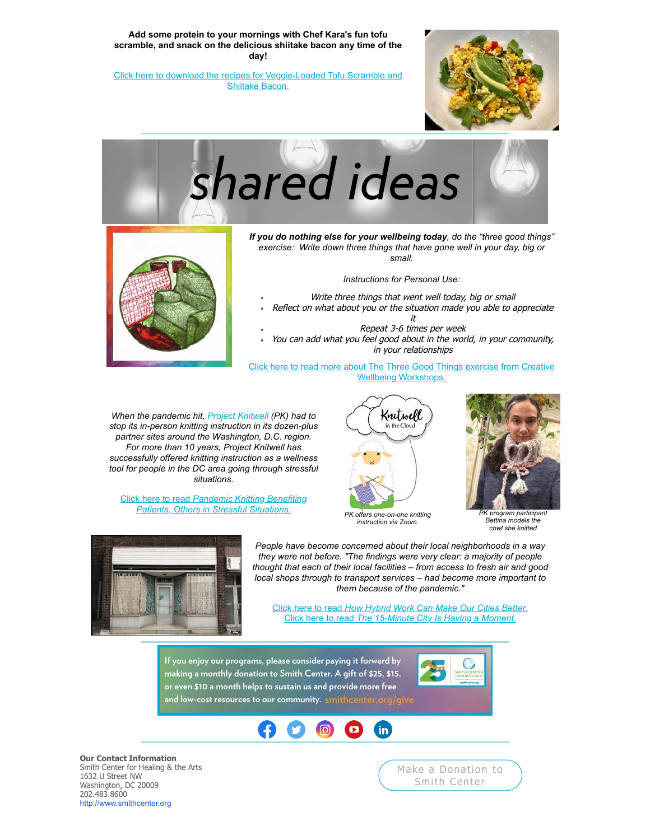**Add some protein to your mornings with Chef Kara's fun tofu scramble, and snack on the delicious shiitake bacon any time of the day!**

[Click here to download the recipes for Veggie-Loaded Tofu Scramble and](https://u4479449.ct.sendgrid.net/ls/click?upn=3sgrXn5Ev5tKVcoBK0A6CgAHr74k0xcNCOw-2B-2F3C0qbclpov4UALDxxb0fS7hpvv2KOb9fiMp0X23SoNXCdRMJJptWmwsWx7oFFHzsgvOfNOHonYimmRBoO7aYDmEmkeY6J1q0hCQNDrFq-2Fma74RBoUemeUF73JaNH-2BROLM-2F-2BB-2FA-3Did2O_5WEKUCHOOKEmpAePquxKW8mz8KxSlNJE8q6LGByFHASLHkY3PAVnX0uan0usBqR4ZgOg70CAYmaHqAqs2ECz4MumhDSU6e2ReAjaDnJuqUHldRl5mHPEZeH8qDbsz4upOVhRTCNwmJdk0qm0AHNnBguz9SC8jjNY6obgMh4owxlhzSZqhDwPJdYrNCZI3dv0LbdvlNXvedEYQByLn-2FmsUXWMrcJWsntXIco1-2Bbufc3hMH8jkrzPp4BofP2NGk07qQrfbBxZMifFQbXLolTRgFkVnPNjyj9WTG7TkopfK5dNwiXZwvJMcP8qo6Af52yVUNrC3F1YLW-2B2LqmyrEbJnobldqjmdgL38fO7vu0tR2ENUaNLOHjpR8JwXrSQ-2BRAptNKfukv73I4Q2-2BGL-2B6iXCkQ-3D-3D) Shiitake Bacon.







*If you do nothing else for your wellbeing today, do the "three good things" exercise: Write down three things that have gone well in your day, big or small.*

*Instructions for Personal Use:*

- Write three things that went well today, big or small
- Reflect on what about you or the situation made you able to appreciate
- it Repeat 3-6 times per week You can add what you feel good about in the world, in your community, in your relationships

[Click here to read more about The Three Good Things exercise from Creative](https://u4479449.ct.sendgrid.net/ls/click?upn=3sgrXn5Ev5tKVcoBK0A6CgIaNBPYJdgwFLmseRS4gyXx4RO9sVtHe3ZvEeygR9QSsk-2BHMJCASxhPUeZSy-2BI0cBnivONM7VGHdnJQz-2FJtOF5nBKgAk1v89FWU1bopmY5ZRmi81udn8aG7tg-2FDuOzx7VdSbLbS5NclnKrAPYso3Ao-3Ddk8y_5WEKUCHOOKEmpAePquxKW8mz8KxSlNJE8q6LGByFHASLHkY3PAVnX0uan0usBqR4ZgOg70CAYmaHqAqs2ECz4MumhDSU6e2ReAjaDnJuqUHldRl5mHPEZeH8qDbsz4upOVhRTCNwmJdk0qm0AHNnBguz9SC8jjNY6obgMh4owxlhzSZqhDwPJdYrNCZI3dv0LbdvlNXvedEYQByLn-2FmsUXWMrcJWsntXIco1-2Bbufc3hMH8jkrzPp4BofP2NGk07qm0D0xrWAlJ8y74V20sv2mr-2FPmjireMHewxkNpzdlMdeQNQarEJBT2-2FOXAqwmw91Kjf4Nb6VXhlHVr-2B3ZLOufHR6VS5Jl8Uz-2BhjqGLDp6EOhQUbLVApWRm1HTD4ZvyYfwXPSuCn-2FLNYrwnA9AF6gpTA-3D-3D) Wellbeing Workshops.

*When the pandemic hit, [Project Knitwell](https://u4479449.ct.sendgrid.net/ls/click?upn=3sgrXn5Ev5tKVcoBK0A6Cv6UsWOBk-2Be9qGylaUjYQBpdFsI0-2BV9-2Bc-2BsrkyKpkyXZNm-2Be7iyySc5dEjMOf0zcFQ-3D-3DDBf__5WEKUCHOOKEmpAePquxKW8mz8KxSlNJE8q6LGByFHASLHkY3PAVnX0uan0usBqR4ZgOg70CAYmaHqAqs2ECz4MumhDSU6e2ReAjaDnJuqUHldRl5mHPEZeH8qDbsz4upOVhRTCNwmJdk0qm0AHNnBguz9SC8jjNY6obgMh4owxlhzSZqhDwPJdYrNCZI3dv0LbdvlNXvedEYQByLn-2FmsUXWMrcJWsntXIco1-2Bbufc3hMH8jkrzPp4BofP2NGk07qe0pjYBeRgSuQEtft4ix8qgO-2FAImTrj08Qh2Ny2v2J-2FRaBp8bl6CKDbPzsj0nRJ0Sn7wROfvCYJtuSeZRnY1USwIYtUggYd3A3Kbo7T4yF37F1mhWuoPUT37CBWwNUOkYcaaqFQ0lP8XthR-2B6iEDf3Q-3D-3D) (PK) had to stop its in-person knitting instruction in its dozen-plus partner sites around the Washington, D.C. region. For more than 10 years, Project Knitwell has successfully offered knitting instruction as a wellness tool for people in the DC area going through stressful situations.*

Click here to read *Pandemic Knitting Benefiting [Patients, Others in Stressful Situations](https://u4479449.ct.sendgrid.net/ls/click?upn=3sgrXn5Ev5tKVcoBK0A6Cv6UsWOBk-2Be9qGylaUjYQBqiLvH6Rax6QSbODRWtJ8C5kKux7mBspC9UcFaSAEbH1C5OAD0zjrigR9-2FgXBXNE4DaqAC-2F9pFbXHVj0-2BY69PxTcmXRHJuPzfolfRT9hQMa-2BzYz-2BTR9YDo1R-2BiCGKnRLU0-3DXA_8_5WEKUCHOOKEmpAePquxKW8mz8KxSlNJE8q6LGByFHASLHkY3PAVnX0uan0usBqR4ZgOg70CAYmaHqAqs2ECz4MumhDSU6e2ReAjaDnJuqUHldRl5mHPEZeH8qDbsz4upOVhRTCNwmJdk0qm0AHNnBguz9SC8jjNY6obgMh4owxlhzSZqhDwPJdYrNCZI3dv0LbdvlNXvedEYQByLn-2FmsUXWMrcJWsntXIco1-2Bbufc3hMH8jkrzPp4BofP2NGk07q5rEKlM5hSEZfe3AsLZpCwkT9DjsjwUiB-2FekcSZQZ2lmzF-2Bdaorc0KqYQ6VzReew8Ix8Fx58zxu916MB75GyP3Ny-2FeD0WCHkLNRbPyLJDdsIHShbFKt0TXOFuKmFDp7RES0LGoV74JqkwGh4cZbnqRw-3D-3D)*. *PK offers one-on-one knitting*



*instruction via Zoom.*



*PK program participan Bettina models the cowl she knitted*



*People have become concerned about their local neighborhoods in a way they were not before. "The findings were very clear: a majority of people thought that each of their local facilities – from access to fresh air and good local shops through to transport services – had become more important to them because of the pandemic."*

Click here to read *[How Hybrid Work Can Make Our Cities Better](https://u4479449.ct.sendgrid.net/ls/click?upn=3sgrXn5Ev5tKVcoBK0A6CsQsJXO2qkLoaHIOK8j-2BAP-2F8rkF4Ip0kfn0A3VpB8I08bUy-2FbLO4mb5NwTJwTN2l1cERjbd5OwO78Rwfcj5yW0LbN6efkFdRSrrZbDKVoie9K6fhrQbaH9Wfc-2FrFFNcEyw-3D-3DP_sU_5WEKUCHOOKEmpAePquxKW8mz8KxSlNJE8q6LGByFHASLHkY3PAVnX0uan0usBqR4ZgOg70CAYmaHqAqs2ECz4MumhDSU6e2ReAjaDnJuqUHldRl5mHPEZeH8qDbsz4upOVhRTCNwmJdk0qm0AHNnBguz9SC8jjNY6obgMh4owxlhzSZqhDwPJdYrNCZI3dv0LbdvlNXvedEYQByLn-2FmsUXWMrcJWsntXIco1-2Bbufc3hMH8jkrzPp4BofP2NGk07qhEvD8A0-2BNEHzn8q6c8reSzCKPYJTjKddMuCHZX1Y-2Br1LAvxbw8poNKehPeAP69Byk2-2F8JnDfCuBjCTvYHzJ01DLq1vPs9S-2BoVRaeiCOCUFKJILeaW9evTEDtkT-2FrG53euyGjZxEwPzop4NaMFgXyqA-3D-3D)*. Click here to read *[The 15-Minute City Is Having a Moment](https://u4479449.ct.sendgrid.net/ls/click?upn=3sgrXn5Ev5tKVcoBK0A6CsQsJXO2qkLoaHIOK8j-2BAP-2F-2Bv6Tz3JYUBdmpJAGR-2B8SX2wkIIzhu5i2R0BlmvEPcQDTiTras7-2FkOHu6mQZhNmtOSdwdcLcj4Gb3YV5cqRp0DJ86kUs65iD5mEfJrIErT-2BQ-3D-3Dku0t_5WEKUCHOOKEmpAePquxKW8mz8KxSlNJE8q6LGByFHASLHkY3PAVnX0uan0usBqR4ZgOg70CAYmaHqAqs2ECz4MumhDSU6e2ReAjaDnJuqUHldRl5mHPEZeH8qDbsz4upOVhRTCNwmJdk0qm0AHNnBguz9SC8jjNY6obgMh4owxlhzSZqhDwPJdYrNCZI3dv0LbdvlNXvedEYQByLn-2FmsUXWMrcJWsntXIco1-2Bbufc3hMH8jkrzPp4BofP2NGk07qzpJX2hT6YrA38INtlM8GFcfpO-2FPciC93FciAO4qSFWDoBKH2Cv7Lt5XrcPP4e8KettNTrslk2mehEun36bEair0GbivWoWuVaiOtgLdKOWLxA8REHEWTaJrBYT0QhmTy63t8DDLwyJxD3HtXBCav3A-3D-3D)*.

If you enjoy our programs, please consider paying it forward by making a monthly donation to Smith Center. A gift of \$25, \$15, or even \$10 a month helps to sustain us and provide more free and low-cost resources to our community. smithcen





**Our Contact Information** Smith Center for Healing & the Arts 1632 U Street NW Washington, DC 20009 202.483.8600 [http://www.smithcenter.org](https://u4479449.ct.sendgrid.net/ls/click?upn=h01KiVVX1GutnfgMP0siTHx-2FIpgtPOihYxaFH1gL8r6ghKUXJQ0pFsWfB48MFlgbncrwY-2BZBAjMaD-2B9K2B3A4Q-3D-3DYUkw_5WEKUCHOOKEmpAePquxKW8mz8KxSlNJE8q6LGByFHASLHkY3PAVnX0uan0usBqR4ZgOg70CAYmaHqAqs2ECz4MumhDSU6e2ReAjaDnJuqUHldRl5mHPEZeH8qDbsz4upOVhRTCNwmJdk0qm0AHNnBguz9SC8jjNY6obgMh4owxlhzSZqhDwPJdYrNCZI3dv0LbdvlNXvedEYQByLn-2FmsUXWMrcJWsntXIco1-2Bbufc3hMH8jkrzPp4BofP2NGk07qLFs4RL33lz5WU4eJsZiyXnmmftiOVITzdwtsoccMW6-2BH-2BemLMZyRx34FP0STCjYKlhXSCct6eW-2BfMNnwO1i5iD6NknP6hilC1LXl-2BsZ7Fzqf828LgzngQOh54Tg3F3p-2Bw-2FMIWexLiS3ZY1-2BQjF8y4w-3D-3D)

[Make a Donation to](https://u4479449.ct.sendgrid.net/ls/click?upn=3sgrXn5Ev5tKVcoBK0A6CgAHr74k0xcNCOw-2B-2F3C0qbfvDrZtw1BvZufdyuLG7HrwIFmWahh9IxKcGmw0iOSCWg-3D-3DvT_y_5WEKUCHOOKEmpAePquxKW8mz8KxSlNJE8q6LGByFHASLHkY3PAVnX0uan0usBqR4ZgOg70CAYmaHqAqs2ECz4MumhDSU6e2ReAjaDnJuqUHldRl5mHPEZeH8qDbsz4upOVhRTCNwmJdk0qm0AHNnBguz9SC8jjNY6obgMh4owxlhzSZqhDwPJdYrNCZI3dv0LbdvlNXvedEYQByLn-2FmsUXWMrcJWsntXIco1-2Bbufc3hMH8jkrzPp4BofP2NGk07qQg9dOX7zXmFy-2BQS4nPCg8zcLi1rpYlqXT-2F8g2tAWgEr7PwcGceMNbRdmtIKvmAC85aGU5DKJEBU-2FP-2FQTHKVXIcUXE33rqVWFCVfXNvXL89HZkhg0t6uRU6dZ1ds2lYkw3ZOCNiii31kqtRpn-2BG8CtA-3D-3D) Smith Center